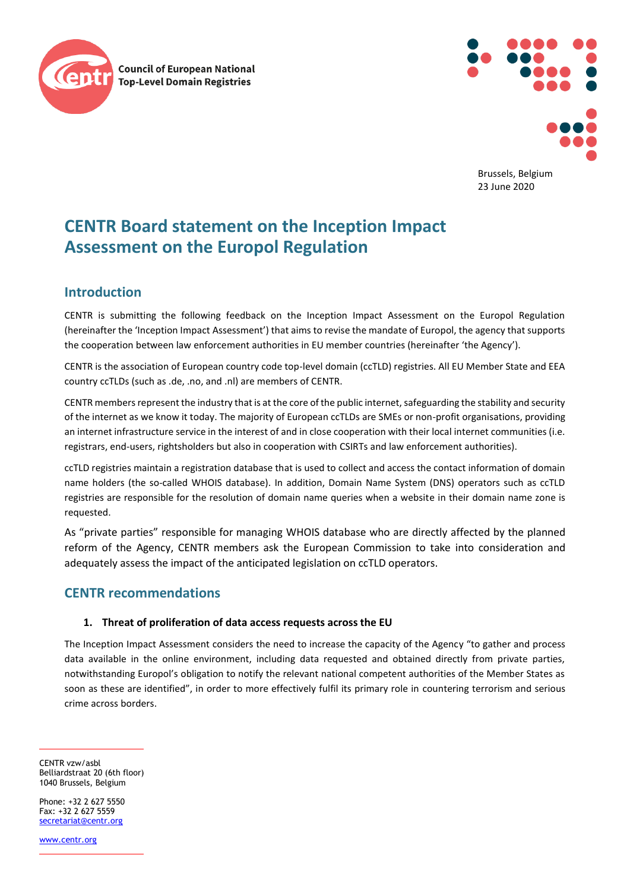



Brussels, Belgium 23 June 2020

# **CENTR Board statement on the Inception Impact Assessment on the Europol Regulation**

## **Introduction**

CENTR is submitting the following feedback on the Inception Impact Assessment on the Europol Regulation (hereinafter the 'Inception Impact Assessment') that aims to revise the mandate of Europol, the agency that supports the cooperation between law enforcement authorities in EU member countries (hereinafter 'the Agency').

CENTR is the association of European country code top-level domain (ccTLD) registries. All EU Member State and EEA country ccTLDs (such as .de, .no, and .nl) are members of CENTR.

CENTR members represent the industry that is at the core of the public internet, safeguarding the stability and security of the internet as we know it today. The majority of European ccTLDs are SMEs or non-profit organisations, providing an internet infrastructure service in the interest of and in close cooperation with their local internet communities (i.e. registrars, end-users, rightsholders but also in cooperation with CSIRTs and law enforcement authorities).

ccTLD registries maintain a registration database that is used to collect and access the contact information of domain name holders (the so-called WHOIS database). In addition, Domain Name System (DNS) operators such as ccTLD registries are responsible for the resolution of domain name queries when a website in their domain name zone is requested.

As "private parties" responsible for managing WHOIS database who are directly affected by the planned reform of the Agency, CENTR members ask the European Commission to take into consideration and adequately assess the impact of the anticipated legislation on ccTLD operators.

## **CENTR recommendations**

### **1. Threat of proliferation of data access requests across the EU**

The Inception Impact Assessment considers the need to increase the capacity of the Agency "to gather and process data available in the online environment, including data requested and obtained directly from private parties, notwithstanding Europol's obligation to notify the relevant national competent authorities of the Member States as soon as these are identified", in order to more effectively fulfil its primary role in countering terrorism and serious crime across borders.

CENTR vzw/asbl Belliardstraat 20 (6th floor) 1040 Brussels, Belgium

Phone: +32 2 627 5550  $Fay: +32 2 627 5559$ [secretariat@centr.org](mailto:secretariat@centr.org)

[www.centr.org](http://www.centr.org/)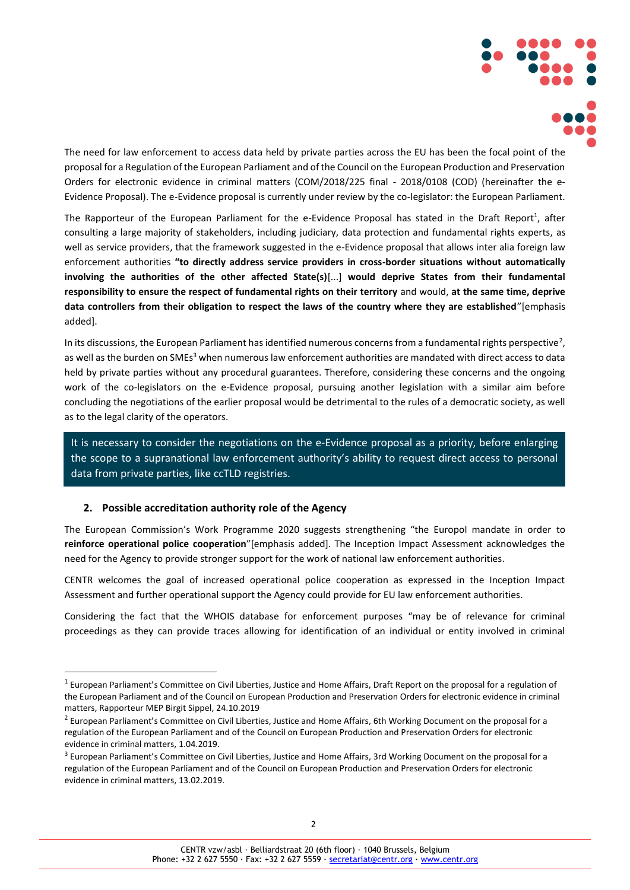

The need for law enforcement to access data held by private parties across the EU has been the focal point of the proposal for a Regulation of the European Parliament and of the Council on the European Production and Preservation Orders for electronic evidence in criminal matters (COM/2018/225 final - 2018/0108 (COD) (hereinafter the e-Evidence Proposal). The e-Evidence proposal is currently under review by the co-legislator: the European Parliament.

The Rapporteur of the European Parliament for the e-Evidence Proposal has stated in the Draft Report<sup>1</sup>, after consulting a large majority of stakeholders, including judiciary, data protection and fundamental rights experts, as well as service providers, that the framework suggested in the e-Evidence proposal that allows inter alia foreign law enforcement authorities **"to directly address service providers in cross-border situations without automatically involving the authorities of the other affected State(s)**[...] **would deprive States from their fundamental responsibility to ensure the respect of fundamental rights on their territory** and would, **at the same time, deprive data controllers from their obligation to respect the laws of the country where they are established**"[emphasis added].

In its discussions, the European Parliament has identified numerous concerns from a fundamental rights perspective<sup>2</sup>, as well as the burden on SMEs<sup>3</sup> when numerous law enforcement authorities are mandated with direct access to data held by private parties without any procedural guarantees. Therefore, considering these concerns and the ongoing work of the co-legislators on the e-Evidence proposal, pursuing another legislation with a similar aim before concluding the negotiations of the earlier proposal would be detrimental to the rules of a democratic society, as well as to the legal clarity of the operators.

It is necessary to consider the negotiations on the e-Evidence proposal as a priority, before enlarging the scope to a supranational law enforcement authority's ability to request direct access to personal data from private parties, like ccTLD registries.

#### **2. Possible accreditation authority role of the Agency**

The European Commission's Work Programme 2020 suggests strengthening "the Europol mandate in order to **reinforce operational police cooperation**"[emphasis added]. The Inception Impact Assessment acknowledges the need for the Agency to provide stronger support for the work of national law enforcement authorities.

CENTR welcomes the goal of increased operational police cooperation as expressed in the Inception Impact Assessment and further operational support the Agency could provide for EU law enforcement authorities.

Considering the fact that the WHOIS database for enforcement purposes "may be of relevance for criminal proceedings as they can provide traces allowing for identification of an individual or entity involved in criminal

<sup>&</sup>lt;sup>1</sup> European Parliament's Committee on Civil Liberties, Justice and Home Affairs, Draft Report on the proposal for a regulation of the European Parliament and of the Council on European Production and Preservation Orders for electronic evidence in criminal matters, Rapporteur MEP Birgit Sippel, 24.10.2019

<sup>&</sup>lt;sup>2</sup> European Parliament's Committee on Civil Liberties, Justice and Home Affairs, 6th Working Document on the proposal for a regulation of the European Parliament and of the Council on European Production and Preservation Orders for electronic evidence in criminal matters, 1.04.2019.

<sup>&</sup>lt;sup>3</sup> European Parliament's Committee on Civil Liberties, Justice and Home Affairs, 3rd Working Document on the proposal for a regulation of the European Parliament and of the Council on European Production and Preservation Orders for electronic evidence in criminal matters, 13.02.2019.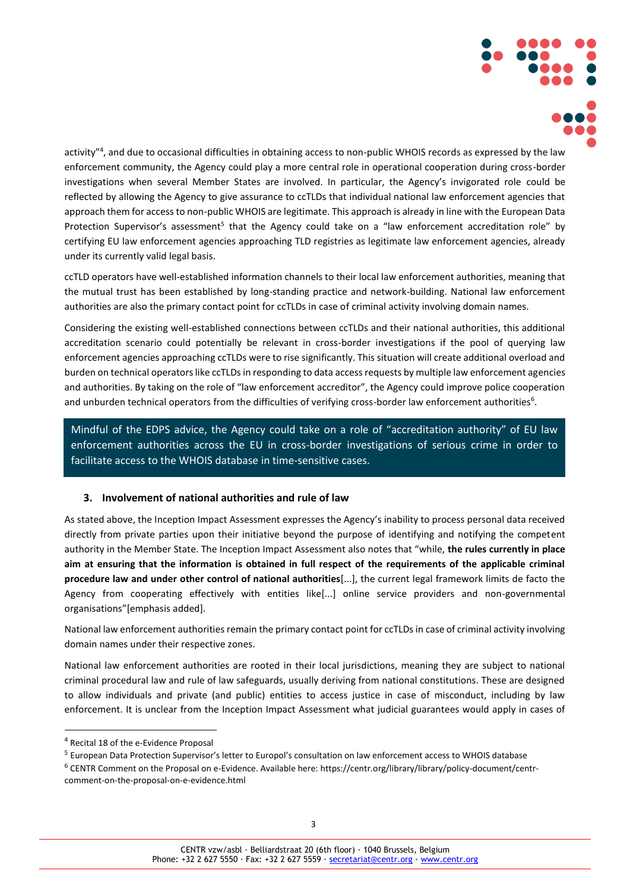

activity"<sup>4</sup>, and due to occasional difficulties in obtaining access to non-public WHOIS records as expressed by the law enforcement community, the Agency could play a more central role in operational cooperation during cross-border investigations when several Member States are involved. In particular, the Agency's invigorated role could be reflected by allowing the Agency to give assurance to ccTLDs that individual national law enforcement agencies that approach them for access to non-public WHOIS are legitimate. This approach is already in line with the European Data Protection Supervisor's assessment<sup>5</sup> that the Agency could take on a "law enforcement accreditation role" by certifying EU law enforcement agencies approaching TLD registries as legitimate law enforcement agencies, already under its currently valid legal basis.

ccTLD operators have well-established information channels to their local law enforcement authorities, meaning that the mutual trust has been established by long-standing practice and network-building. National law enforcement authorities are also the primary contact point for ccTLDs in case of criminal activity involving domain names.

Considering the existing well-established connections between ccTLDs and their national authorities, this additional accreditation scenario could potentially be relevant in cross-border investigations if the pool of querying law enforcement agencies approaching ccTLDs were to rise significantly. This situation will create additional overload and burden on technical operators like ccTLDs in responding to data access requests by multiple law enforcement agencies and authorities. By taking on the role of "law enforcement accreditor", the Agency could improve police cooperation and unburden technical operators from the difficulties of verifying cross-border law enforcement authorities<sup>6</sup>.

Mindful of the EDPS advice, the Agency could take on a role of "accreditation authority" of EU law enforcement authorities across the EU in cross-border investigations of serious crime in order to facilitate access to the WHOIS database in time-sensitive cases.

#### **3. Involvement of national authorities and rule of law**

As stated above, the Inception Impact Assessment expresses the Agency's inability to process personal data received directly from private parties upon their initiative beyond the purpose of identifying and notifying the competent authority in the Member State. The Inception Impact Assessment also notes that "while, **the rules currently in place aim at ensuring that the information is obtained in full respect of the requirements of the applicable criminal procedure law and under other control of national authorities**[...], the current legal framework limits de facto the Agency from cooperating effectively with entities like[...] online service providers and non-governmental organisations"[emphasis added].

National law enforcement authorities remain the primary contact point for ccTLDs in case of criminal activity involving domain names under their respective zones.

National law enforcement authorities are rooted in their local jurisdictions, meaning they are subject to national criminal procedural law and rule of law safeguards, usually deriving from national constitutions. These are designed to allow individuals and private (and public) entities to access justice in case of misconduct, including by law enforcement. It is unclear from the Inception Impact Assessment what judicial guarantees would apply in cases of

<sup>4</sup> Recital 18 of the e-Evidence Proposal

<sup>&</sup>lt;sup>5</sup> European Data Protection Supervisor's letter to Europol's consultation on law enforcement access to WHOIS database

<sup>6</sup> CENTR Comment on the Proposal on e-Evidence. Available here: https://centr.org/library/library/policy-document/centrcomment-on-the-proposal-on-e-evidence.html